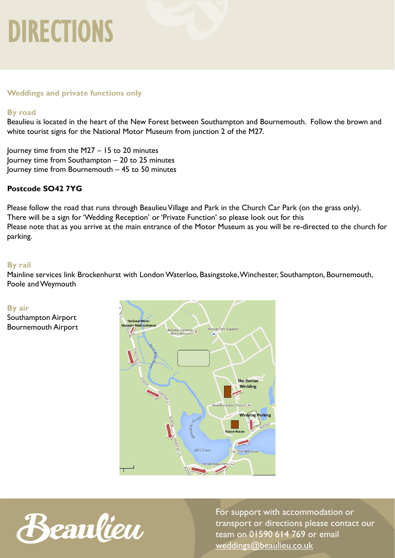# DIRECTIONS

### **Weddings and private functions only**

### **By road**

Beaulieu is located in the heart of the New Forest between Southampton and Bournemouth. Follow the brown and white tourist signs for the National Motor Museum from junction 2 of the M27.

Journey time from the M27 – 15 to 20 minutes Journey time from Southampton – 20 to 25 minutes Journey time from Bournemouth – 45 to 50 minutes

### **Postcode SO42 7YG**

Please follow the road that runs through Beaulieu Village and Park in the Church Car Park (on the grass only). There will be a sign for 'Wedding Reception' or 'Private Function' so please look out for this Please note that as you arrive at the main entrance of the Motor Museum as you will be re-directed to the church for parking.

### **By rail**

Mainline services link Brockenhurst with London Waterloo, Basingstoke, Winchester, Southampton, Bournemouth, Poole and Weymouth

### **By air**

Southampton Airport Bournemouth Airport





For support with accommodation or transport or directions please contact our team on 01590 614 769 or email [weddings@beaulieu.co.uk](mailto:weddings@beaulieu.co.uk)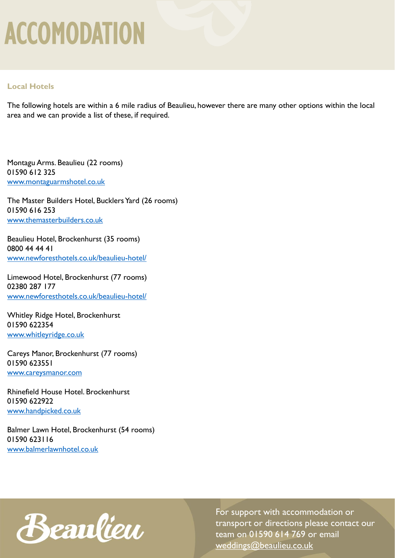# ACCOMODATION

### **Local Hotels**

The following hotels are within a 6 mile radius of Beaulieu, however there are many other options within the local area and we can provide a list of these, if required.

Montagu Arms. Beaulieu (22 rooms) 01590 612 325 [www.montaguarmshotel.co.uk](http://www.montaguarmshotel.co.uk/)

The Master Builders Hotel, Bucklers Yard (26 rooms) 01590 616 253 [www.themasterbuilders.co.uk](http://www.themasterbuilders.co.uk/)

Beaulieu Hotel, Brockenhurst (35 rooms) 0800 44 44 41 [www.newforesthotels.co.uk/beaulieu-hotel/](http://www.newforesthotels.co.uk/beaulieu-hotel/)

Limewood Hotel, Brockenhurst (77 rooms) 02380 287 177 [www.newforesthotels.co.uk/beaulieu-hotel/](http://www.newforesthotels.co.uk/beaulieu-hotel/)

Whitley Ridge Hotel, Brockenhurst 01590 622354 [www.whitleyridge.co.uk](http://www.whitleyridge.co.uk/)

Careys Manor, Brockenhurst (77 rooms) 01590 623551 [www.careysmanor.com](http://www.careysmanor.com/)

Rhinefield House Hotel. Brockenhurst 01590 622922 [www.handpicked.co.uk](http://www.handpicked.co.uk/)

Balmer Lawn Hotel, Brockenhurst (54 rooms) 01590 623116 [www.balmerlawnhotel.co.uk](http://www.balmerlawnhotel.co.uk/)



For support with accommodation or transport or directions please contact our team on 01590 614 769 or email [weddings@beaulieu.co.uk](mailto:weddings@beaulieu.co.uk)